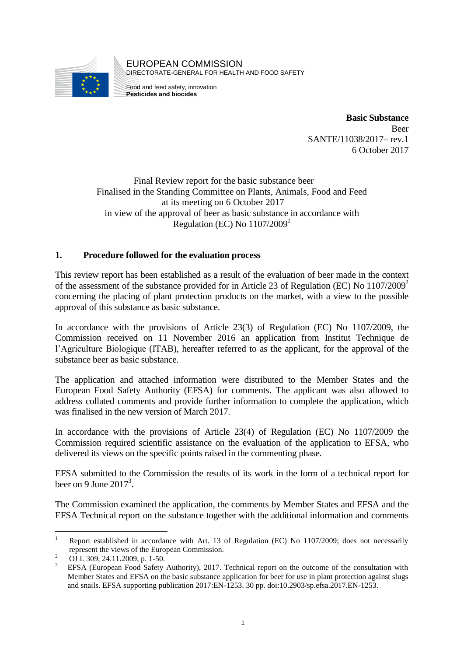

EUROPEAN COMMISSION DIRECTORATE-GENERAL FOR HEALTH AND FOOD SAFETY

Food and feed safety, innovation **Pesticides and biocides**

> **Basic Substance** Beer SANTE/11038/2017– rev.1 6 October 2017

Final Review report for the basic substance beer Finalised in the Standing Committee on Plants, Animals, Food and Feed at its meeting on 6 October 2017 in view of the approval of beer as basic substance in accordance with Regulation (EC) No  $1107/2009<sup>1</sup>$ 

### **1. Procedure followed for the evaluation process**

This review report has been established as a result of the evaluation of beer made in the context of the assessment of the substance provided for in Article 23 of Regulation (EC) No  $1107/2009^2$ concerning the placing of plant protection products on the market, with a view to the possible approval of this substance as basic substance.

In accordance with the provisions of Article 23(3) of Regulation (EC) No 1107/2009, the Commission received on 11 November 2016 an application from Institut Technique de l'Agriculture Biologique (ITAB), hereafter referred to as the applicant, for the approval of the substance beer as basic substance.

The application and attached information were distributed to the Member States and the European Food Safety Authority (EFSA) for comments. The applicant was also allowed to address collated comments and provide further information to complete the application, which was finalised in the new version of March 2017.

In accordance with the provisions of Article 23(4) of Regulation (EC) No 1107/2009 the Commission required scientific assistance on the evaluation of the application to EFSA, who delivered its views on the specific points raised in the commenting phase.

EFSA submitted to the Commission the results of its work in the form of a technical report for beer on 9 June  $2017<sup>3</sup>$ .

The Commission examined the application, the comments by Member States and EFSA and the EFSA Technical report on the substance together with the additional information and comments

<sup>1</sup> <sup>1</sup> Report established in accordance with Art. 13 of Regulation (EC) No 1107/2009; does not necessarily represent the views of the European Commission.

<sup>&</sup>lt;sup>2</sup> OJ L 309, 24.11.2009, p. 1-50.

<sup>3</sup> EFSA (European Food Safety Authority), 2017. Technical report on the outcome of the consultation with Member States and EFSA on the basic substance application for beer for use in plant protection against slugs and snails. EFSA supporting publication 2017:EN-1253. 30 pp. doi:10.2903/sp.efsa.2017.EN-1253.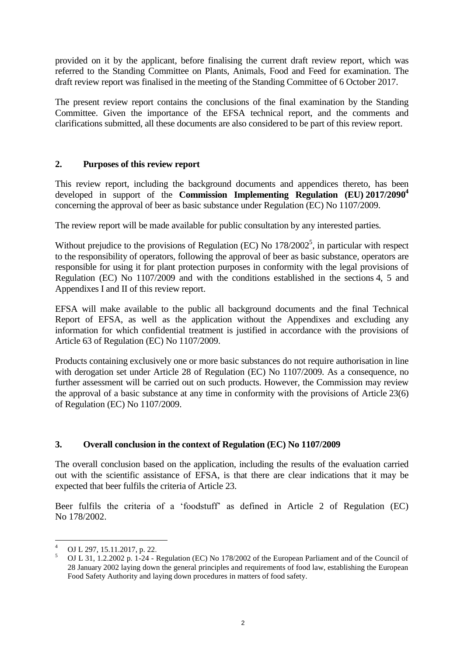provided on it by the applicant, before finalising the current draft review report, which was referred to the Standing Committee on Plants, Animals, Food and Feed for examination. The draft review report was finalised in the meeting of the Standing Committee of 6 October 2017.

The present review report contains the conclusions of the final examination by the Standing Committee. Given the importance of the EFSA technical report, and the comments and clarifications submitted, all these documents are also considered to be part of this review report.

### **2. Purposes of this review report**

This review report, including the background documents and appendices thereto, has been developed in support of the **Commission Implementing Regulation (EU) 2017/2090<sup>4</sup>** concerning the approval of beer as basic substance under Regulation (EC) No 1107/2009.

The review report will be made available for public consultation by any interested parties.

Without prejudice to the provisions of Regulation (EC) No  $178/2002^5$ , in particular with respect to the responsibility of operators, following the approval of beer as basic substance, operators are responsible for using it for plant protection purposes in conformity with the legal provisions of Regulation (EC) No 1107/2009 and with the conditions established in the sections 4, 5 and Appendixes I and II of this review report.

EFSA will make available to the public all background documents and the final Technical Report of EFSA, as well as the application without the Appendixes and excluding any information for which confidential treatment is justified in accordance with the provisions of Article 63 of Regulation (EC) No 1107/2009.

Products containing exclusively one or more basic substances do not require authorisation in line with derogation set under Article 28 of Regulation (EC) No 1107/2009. As a consequence, no further assessment will be carried out on such products. However, the Commission may review the approval of a basic substance at any time in conformity with the provisions of Article 23(6) of Regulation (EC) No 1107/2009.

### **3. Overall conclusion in the context of Regulation (EC) No 1107/2009**

The overall conclusion based on the application, including the results of the evaluation carried out with the scientific assistance of EFSA, is that there are clear indications that it may be expected that beer fulfils the criteria of Article 23.

Beer fulfils the criteria of a 'foodstuff' as defined in Article 2 of Regulation (EC) No 178/2002.

<sup>&</sup>lt;u>.</u> <sup>4</sup> OJ L 297, 15.11.2017, p. 22.

<sup>5</sup> OJ L 31, 1.2.2002 p. 1-24 - Regulation (EC) No 178/2002 of the European Parliament and of the Council of 28 January 2002 laying down the general principles and requirements of food law, establishing the European Food Safety Authority and laying down procedures in matters of food safety.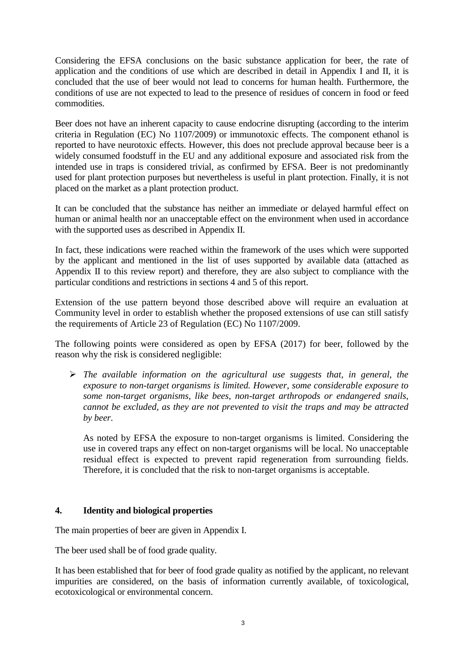Considering the EFSA conclusions on the basic substance application for beer, the rate of application and the conditions of use which are described in detail in Appendix I and II, it is concluded that the use of beer would not lead to concerns for human health. Furthermore, the conditions of use are not expected to lead to the presence of residues of concern in food or feed commodities.

Beer does not have an inherent capacity to cause endocrine disrupting (according to the interim criteria in Regulation (EC) No 1107/2009) or immunotoxic effects. The component ethanol is reported to have neurotoxic effects. However, this does not preclude approval because beer is a widely consumed foodstuff in the EU and any additional exposure and associated risk from the intended use in traps is considered trivial, as confirmed by EFSA. Beer is not predominantly used for plant protection purposes but nevertheless is useful in plant protection. Finally, it is not placed on the market as a plant protection product.

It can be concluded that the substance has neither an immediate or delayed harmful effect on human or animal health nor an unacceptable effect on the environment when used in accordance with the supported uses as described in Appendix II.

In fact, these indications were reached within the framework of the uses which were supported by the applicant and mentioned in the list of uses supported by available data (attached as Appendix II to this review report) and therefore, they are also subject to compliance with the particular conditions and restrictions in sections 4 and 5 of this report.

Extension of the use pattern beyond those described above will require an evaluation at Community level in order to establish whether the proposed extensions of use can still satisfy the requirements of Article 23 of Regulation (EC) No 1107/2009.

The following points were considered as open by EFSA (2017) for beer, followed by the reason why the risk is considered negligible:

 *The available information on the agricultural use suggests that, in general, the exposure to non-target organisms is limited. However, some considerable exposure to some non-target organisms, like bees, non-target arthropods or endangered snails, cannot be excluded, as they are not prevented to visit the traps and may be attracted by beer.*

As noted by EFSA the exposure to non-target organisms is limited. Considering the use in covered traps any effect on non-target organisms will be local. No unacceptable residual effect is expected to prevent rapid regeneration from surrounding fields. Therefore, it is concluded that the risk to non-target organisms is acceptable.

#### **4. Identity and biological properties**

The main properties of beer are given in Appendix I.

The beer used shall be of food grade quality.

It has been established that for beer of food grade quality as notified by the applicant, no relevant impurities are considered, on the basis of information currently available, of toxicological, ecotoxicological or environmental concern.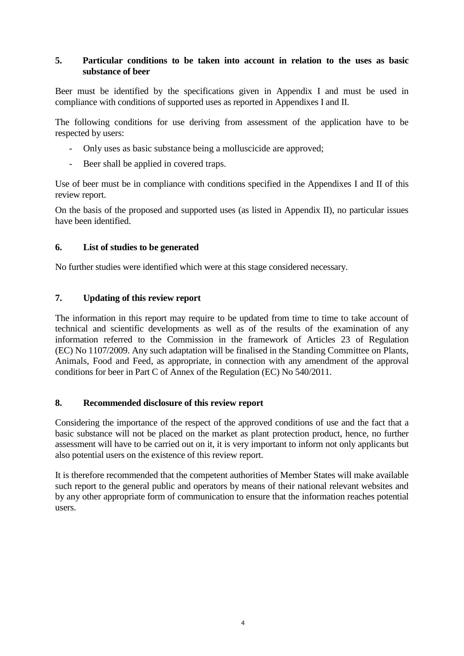### **5. Particular conditions to be taken into account in relation to the uses as basic substance of beer**

Beer must be identified by the specifications given in Appendix I and must be used in compliance with conditions of supported uses as reported in Appendixes I and II.

The following conditions for use deriving from assessment of the application have to be respected by users:

- Only uses as basic substance being a molluscicide are approved;
- Beer shall be applied in covered traps.

Use of beer must be in compliance with conditions specified in the Appendixes I and II of this review report.

On the basis of the proposed and supported uses (as listed in Appendix II), no particular issues have been identified.

### **6. List of studies to be generated**

No further studies were identified which were at this stage considered necessary.

### **7. Updating of this review report**

The information in this report may require to be updated from time to time to take account of technical and scientific developments as well as of the results of the examination of any information referred to the Commission in the framework of Articles 23 of Regulation (EC) No 1107/2009. Any such adaptation will be finalised in the Standing Committee on Plants, Animals, Food and Feed, as appropriate, in connection with any amendment of the approval conditions for beer in Part C of Annex of the Regulation (EC) No 540/2011.

### **8. Recommended disclosure of this review report**

Considering the importance of the respect of the approved conditions of use and the fact that a basic substance will not be placed on the market as plant protection product, hence, no further assessment will have to be carried out on it, it is very important to inform not only applicants but also potential users on the existence of this review report.

It is therefore recommended that the competent authorities of Member States will make available such report to the general public and operators by means of their national relevant websites and by any other appropriate form of communication to ensure that the information reaches potential users.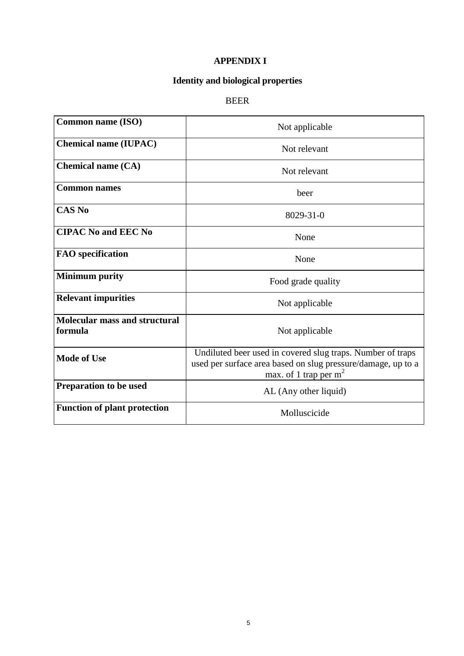## **APPENDIX I**

# **Identity and biological properties**

# BEER

| <b>Common name (ISO)</b>                        | Not applicable                                                                                                                                        |  |  |  |  |  |  |
|-------------------------------------------------|-------------------------------------------------------------------------------------------------------------------------------------------------------|--|--|--|--|--|--|
| <b>Chemical name (IUPAC)</b>                    | Not relevant                                                                                                                                          |  |  |  |  |  |  |
| <b>Chemical name (CA)</b>                       | Not relevant                                                                                                                                          |  |  |  |  |  |  |
| <b>Common names</b>                             | beer                                                                                                                                                  |  |  |  |  |  |  |
| <b>CAS No</b>                                   | 8029-31-0                                                                                                                                             |  |  |  |  |  |  |
| <b>CIPAC No and EEC No</b>                      | None                                                                                                                                                  |  |  |  |  |  |  |
| <b>FAO</b> specification                        | None                                                                                                                                                  |  |  |  |  |  |  |
| <b>Minimum purity</b>                           | Food grade quality                                                                                                                                    |  |  |  |  |  |  |
| <b>Relevant impurities</b>                      | Not applicable                                                                                                                                        |  |  |  |  |  |  |
| <b>Molecular mass and structural</b><br>formula | Not applicable                                                                                                                                        |  |  |  |  |  |  |
| <b>Mode of Use</b>                              | Undiluted beer used in covered slug traps. Number of traps<br>used per surface area based on slug pressure/damage, up to a<br>max. of 1 trap per $m2$ |  |  |  |  |  |  |
| Preparation to be used                          | AL (Any other liquid)                                                                                                                                 |  |  |  |  |  |  |
| <b>Function of plant protection</b>             | Molluscicide                                                                                                                                          |  |  |  |  |  |  |